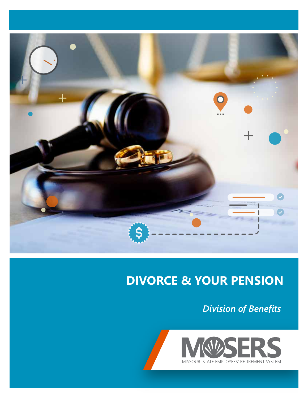

### **DIVORCE & YOUR PENSION**

*Division of Benefits*

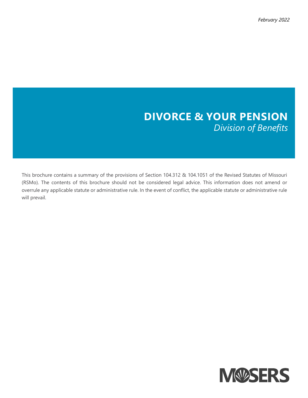*February 2022*

### **DIVORCE & YOUR PENSION** *Division of Benefits*

This brochure contains a summary of the provisions of Section 104.312 & 104.1051 of the Revised Statutes of Missouri (RSMo). The contents of this brochure should not be considered legal advice. This information does not amend or overrule any applicable statute or administrative rule. In the event of conflict, the applicable statute or administrative rule will prevail.

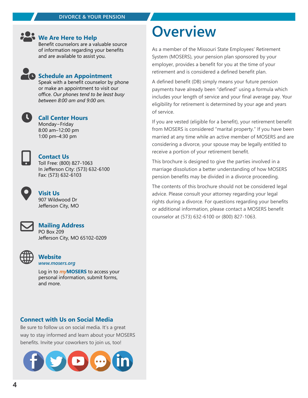### **We Are Here to Help**

Benefit counselors are a valuable source of information regarding your benefits and are available to assist you.

#### **C** Schedule an Appointment

Speak with a benefit counselor by phone or make an appointment to visit our office. *Our phones tend to be least busy between 8:00 am and 9:00 am.*



**Call Center Hours** Monday−Friday

8:00 am–12:00 pm 1:00 pm–4:30 pm



**Contact Us** Toll Free: (800) 827-1063 In Jefferson City: (573) 632-6100 Fax: (573) 632-6103



**Visit Us** 907 Wildwood Dr Jefferson City, MO



**Mailing Address** PO Box 209 Jefferson City, MO 65102-0209



#### **Website** *www.mosers.org*

Log in to *my***MOSERS** to access your personal information, submit forms, and more.

### **Overview**

As a member of the Missouri State Employees' Retirement System (MOSERS), your pension plan sponsored by your employer, provides a benefit for you at the time of your retirement and is considered a defined benefit plan.

A defined benefit (DB) simply means your future pension payments have already been "defined" using a formula which includes your length of service and your final average pay. Your eligibility for retirement is determined by your age and years of service.

If you are vested (eligible for a benefit), your retirement benefit from MOSERS is considered "marital property." If you have been married at any time while an active member of MOSERS and are considering a divorce, your spouse may be legally entitled to receive a portion of your retirement benefit.

This brochure is designed to give the parties involved in a marriage dissolution a better understanding of how MOSERS pension benefits may be divided in a divorce proceeding.

The contents of this brochure should not be considered legal advice. Please consult your attorney regarding your legal rights during a divorce. For questions regarding your benefits or additional information, please contact a MOSERS benefit counselor at (573) 632-6100 or (800) 827-1063.

#### **Connect with Us on Social Media**

Be sure to follow us on social media. It's a great way to stay informed and learn about your MOSERS benefits. Invite your coworkers to join us, too!

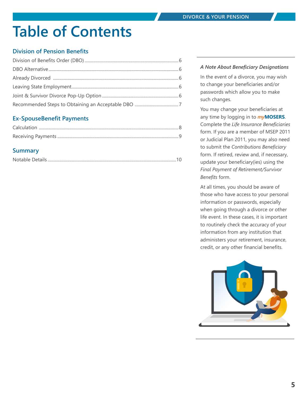### **Table of Contents**

#### **Division of Pension Benefits**

#### **Ex-SpouseBenefit Payments**

#### **Summary**

#### *A Note About Beneficiary Designations*

In the event of a divorce, you may wish to change your beneficiaries and/or passwords which allow you to make such changes.

You may change your beneficiaries at any time by logging in to *my***MOSERS**. Complete the *Life Insurance Beneficiaries*  form. If you are a member of MSEP 2011 or Judicial Plan 2011, you may also need to submit the *Contributions Beneficiary* form. If retired, review and, if necessary, update your beneficiary(ies) using the *Final Payment of Retirement/Survivor Benefits* form.

At all times, you should be aware of those who have access to your personal information or passwords, especially when going through a divorce or other life event. In these cases, it is important to routinely check the accuracy of your information from any institution that administers your retirement, insurance, credit, or any other financial benefits.

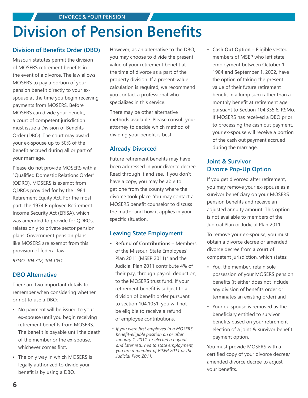### **Division of Pension Benefits**

#### **Division of Benefits Order (DBO)**

Missouri statutes permit the division of MOSERS retirement benefits in the event of a divorce. The law allows MOSERS to pay a portion of your pension benefit directly to your exspouse at the time you begin receiving payments from MOSERS. Before MOSERS can divide your benefit, a court of competent jurisdiction must issue a Division of Benefits Order (DBO). The court may award your ex-spouse up to 50% of the benefit accrued during all or part of your marriage.

Please do not provide MOSERS with a "Qualified Domestic Relations Order" (QDRO). MOSERS is exempt from QDROs provided for by the 1984 Retirement Equity Act. For the most part, the 1974 Employee Retirement Income Security Act (ERISA), which was amended to provide for QDROs, relates only to private sector pension plans. Government pension plans like MOSERS are exempt from this provision of federal law.

*RSMO: 104.312; 104.1051*

#### **DBO Alternative**

There are two important details to remember when considering whether or not to use a DBO:

- No payment will be issued to your ex-spouse until you begin receiving retirement benefits from MOSERS. The benefit is payable until the death of the member or the ex-spouse, whichever comes first.
- The only way in which MOSERS is legally authorized to divide your benefit is by using a DBO.

However, as an alternative to the DBO, you may choose to divide the present value of your retirement benefit at the time of divorce as a part of the property division. If a present-value calculation is required, we recommend you contact a professional who specializes in this service.

There may be other alternative methods available. Please consult your attorney to decide which method of dividing your benefit is best.

#### **Already Divorced**

Future retirement benefits may have been addressed in your divorce decree. Read through it and see. If you don't have a copy, you may be able to get one from the county where the divorce took place. You may contact a MOSERS benefit counselor to discuss the matter and how it applies in your specific situation.

#### **Leaving State Employment**

- **• Refund of Contributions** Members of the Missouri State Employees' Plan 2011 (MSEP 2011)\* and the Judicial Plan 2011 contribute 4% of their pay, through payroll deduction, to the MOSERS trust fund. If your retirement benefit is subject to a division of benefit order pursuant to section 104.1051, you will not be eligible to receive a refund of employee contributions.
- *\* If you were first employed in a MOSERS benefit-eligible position on or after January 1, 2011, or elected a buyout and later returned to state employment, you are a member of MSEP 2011 or the Judicial Plan 2011.*

**• Cash Out Option** – Eligible vested members of MSEP who left state employment between October 1, 1984 and September 1, 2002, have the option of taking the present value of their future retirement benefit in a lump sum rather than a monthly benefit at retirement age pursuant to Section 104.335.6, RSMo. If MOSERS has received a DBO prior to processing the cash out payment, your ex-spouse will receive a portion of the cash out payment accrued during the marriage.

#### **Joint & Survivor Divorce Pop-Up Option**

If you get divorced after retirement, you may remove your ex-spouse as a survivor beneficiary on your MOSERS pension benefits and receive an adjusted annuity amount. This option is not available to members of the Judicial Plan or Judicial Plan 2011.

To remove your ex-spouse, you must obtain a divorce decree or amended divorce decree from a court of competent jurisdiction, which states:

- You, the member, retain sole possession of your MOSERS pension benefits (it either does not include any division of benefits order or terminates an existing order) and
- Your ex-spouse is removed as the beneficiary entitled to survivor benefits based on your retirement election of a joint & survivor benefit payment option.

You must provide MOSERS with a certified copy of your divorce decree/ amended divorce decree to adjust your benefits.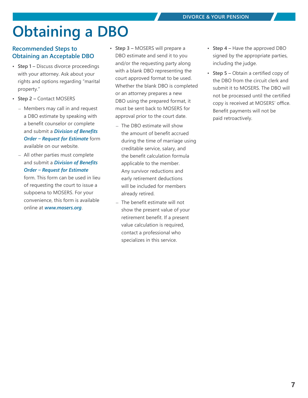# **Obtaining a DBO**

#### **Recommended Steps to Obtaining an Acceptable DBO**

- **• Step 1 –** Discuss divorce proceedings with your attorney. Ask about your rights and options regarding "marital property."
- **• Step 2 –** Contact MOSERS
	- Members may call in and request a DBO estimate by speaking with a benefit counselor or complete and submit a *Division of Benefits Order – Request for Estimate* form available on our website.
	- All other parties must complete and submit a *Division of Benefits Order – Request for Estimate*

form. This form can be used in lieu of requesting the court to issue a subpoena to MOSERS. For your convenience, this form is available online at *www.mosers.org*.

- **• Step 3 –** MOSERS will prepare a DBO estimate and send it to you and/or the requesting party along with a blank DBO representing the court approved format to be used. Whether the blank DBO is completed or an attorney prepares a new DBO using the prepared format, it must be sent back to MOSERS for approval prior to the court date.
	- The DBO estimate will show the amount of benefit accrued during the time of marriage using creditable service, salary, and the benefit calculation formula applicable to the member. Any survivor reductions and early retirement deductions will be included for members already retired.
	- The benefit estimate will not show the present value of your retirement benefit. If a present value calculation is required, contact a professional who specializes in this service.
- **• Step 4 –** Have the approved DBO signed by the appropriate parties, including the judge.
- **Step 5 –** Obtain a certified copy of the DBO from the circuit clerk and submit it to MOSERS. The DBO will not be processed until the certified copy is received at MOSERS' office. Benefit payments will not be paid retroactively.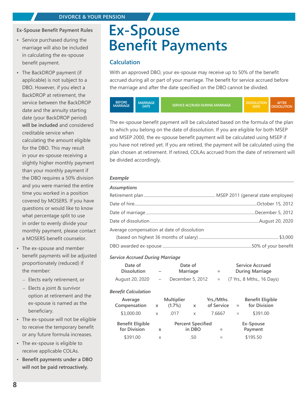#### **Ex-Spouse Benefit Payment Rules**

- Service purchased during the marriage will also be included in calculating the ex-spouse benefit payment.
- The BackDROP payment (if applicable) is not subject to a DBO. However, if you elect a BackDROP at retirement, the service between the BackDROP date and the annuity starting date (your BackDROP period) **will be included** and considered creditable service when calculating the amount eligible for the DBO. This may result in your ex-spouse receiving a slightly higher monthly payment than your monthly payment if the DBO requires a 50% division and you were married the entire time you worked in a position covered by MOSERS. If you have questions or would like to know what percentage split to use in order to evenly divide your monthly payment, please contact a MOSERS benefit counselor.
- The ex-spouse and member benefit payments will be adjusted proportionately (reduced) if the member:
	- Elects early retirement, or
	- Elects a joint & survivor option at retirement and the ex-spouse is named as the beneficiary.
- The ex-spouse will not be eligible to receive the temporary benefit or any future formula increases.
- The ex-spouse is eligible to receive applicable COLAs.
- **Benefit payments under a DBO will not be paid retroactively.**

### **Ex-Spouse Benefit Payments**

#### **Calculation**

With an approved DBO, your ex-spouse may receive up to 50% of the benefit accrued during all or part of your marriage. The benefit for service accrued before the marriage and after the date specified on the DBO cannot be divided.



The ex‑spouse benefit payment will be calculated based on the formula of the plan to which you belong on the date of dissolution. If you are eligible for both MSEP and MSEP 2000, the ex-spouse benefit payment will be calculated using MSEP if you have not retired yet. If you are retired, the payment will be calculated using the plan chosen at retirement. If retired, COLAs accrued from the date of retirement will be divided accordingly.

#### *Example*

| <b>Assumptions</b>                          |  |
|---------------------------------------------|--|
|                                             |  |
|                                             |  |
|                                             |  |
|                                             |  |
| Average compensation at date of dissolution |  |
|                                             |  |
|                                             |  |

#### *Service Accrued During Marriage*

| Date of<br><b>Dissolution</b>           |                                                                        | Date of<br>Marriage<br>$=$     |                           |                          |     | <b>Service Accrued</b><br><b>During Marriage</b> |
|-----------------------------------------|------------------------------------------------------------------------|--------------------------------|---------------------------|--------------------------|-----|--------------------------------------------------|
| August 20, 2020                         | $\overline{\phantom{0}}$                                               | December 5, 2012               |                           | $=$                      |     | (7 Yrs., 8 Mths., 16 Days)                       |
| <b>Benefit Calculation</b>              |                                                                        |                                |                           |                          |     |                                                  |
| Average<br>Compensation                 | X                                                                      | <b>Multiplier</b><br>$(1.7\%)$ | $\boldsymbol{\mathsf{x}}$ | Yrs./Mths.<br>of Service | $=$ | <b>Benefit Eligible</b><br>for Division          |
| \$3,000.00                              | $\mathsf{x}$                                                           | .017                           | X                         | 7.6667                   | $=$ | \$391.00                                         |
| <b>Benefit Eligible</b><br>for Division | <b>Percent Specified</b><br>Ex-Spouse<br>in DBO<br>Payment<br>X<br>$=$ |                                |                           |                          |     |                                                  |
| \$391.00                                | X                                                                      |                                | .50                       | $=$                      |     | \$195.50                                         |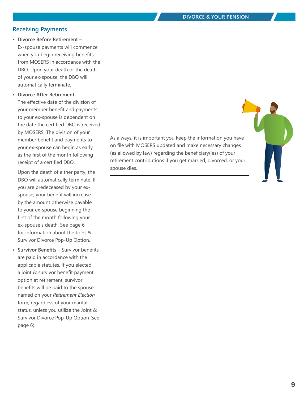#### **Receiving Payments**

- **• Divorce Before Retirement** Ex-spouse payments will commence when you begin receiving benefits from MOSERS in accordance with the DBO. Upon your death or the death of your ex-spouse, the DBO will automatically terminate.
- **• Divorce After Retirement** –

The effective date of the division of your member benefit and payments to your ex-spouse is dependent on the date the certified DBO is received by MOSERS. The division of your member benefit and payments to your ex-spouse can begin as early as the first of the month following receipt of a certified DBO.

Upon the death of either party, the DBO will automatically terminate. If you are predeceased by your exspouse, your benefit will increase by the amount otherwise payable to your ex-spouse beginning the first of the month following your ex‑spouse's death. See page 6 for information about the Joint & Survivor Divorce Pop-Up Option.

**• Survivor Benefits** – Survivor benefits are paid in accordance with the applicable statutes. If you elected a joint & survivor benefit payment option at retirement, survivor benefits will be paid to the spouse named on your *Retirement Election* form, regardless of your marital status, unless you utilize the Joint & Survivor Divorce Pop-Up Option (see page 6).

As always, it is important you keep the information you have on file with MOSERS updated and make necessary changes (as allowed by law) regarding the beneficiary(ies) of your retirement contributions if you get married, divorced, or your spouse dies.

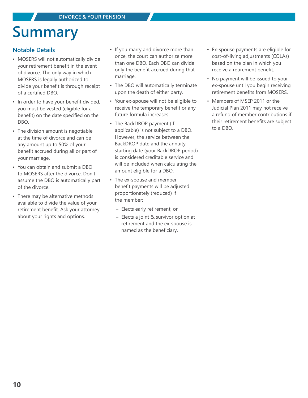## **Summary**

#### **Notable Details**

- MOSERS will not automatically divide your retirement benefit in the event of divorce. The only way in which MOSERS is legally authorized to divide your benefit is through receipt of a certified DBO.
- In order to have your benefit divided, you must be vested (eligible for a benefit) on the date specified on the DBO.
- The division amount is negotiable at the time of divorce and can be any amount up to 50% of your benefit accrued during all or part of your marriage.
- You can obtain and submit a DBO to MOSERS after the divorce. Don't assume the DBO is automatically part of the divorce.
- There may be alternative methods available to divide the value of your retirement benefit. Ask your attorney about your rights and options.
- If you marry and divorce more than once, the court can authorize more than one DBO. Each DBO can divide only the benefit accrued during that marriage.
- The DBO will automatically terminate upon the death of either party.
- Your ex-spouse will not be eligible to receive the temporary benefit or any future formula increases.
- The BackDROP payment (if applicable) is not subject to a DBO. However, the service between the BackDROP date and the annuity starting date (your BackDROP period) is considered creditable service and will be included when calculating the amount eligible for a DBO.
- The ex-spouse and member benefit payments will be adjusted proportionately (reduced) if the member:
	- Elects early retirement, or
	- Elects a joint & survivor option at retirement and the ex-spouse is named as the beneficiary.
- Ex-spouse payments are eligible for cost-of-living adjustments (COLAs) based on the plan in which you receive a retirement benefit.
- No payment will be issued to your ex-spouse until you begin receiving retirement benefits from MOSERS.
- Members of MSEP 2011 or the Judicial Plan 2011 may not receive a refund of member contributions if their retirement benefits are subject to a DBO.